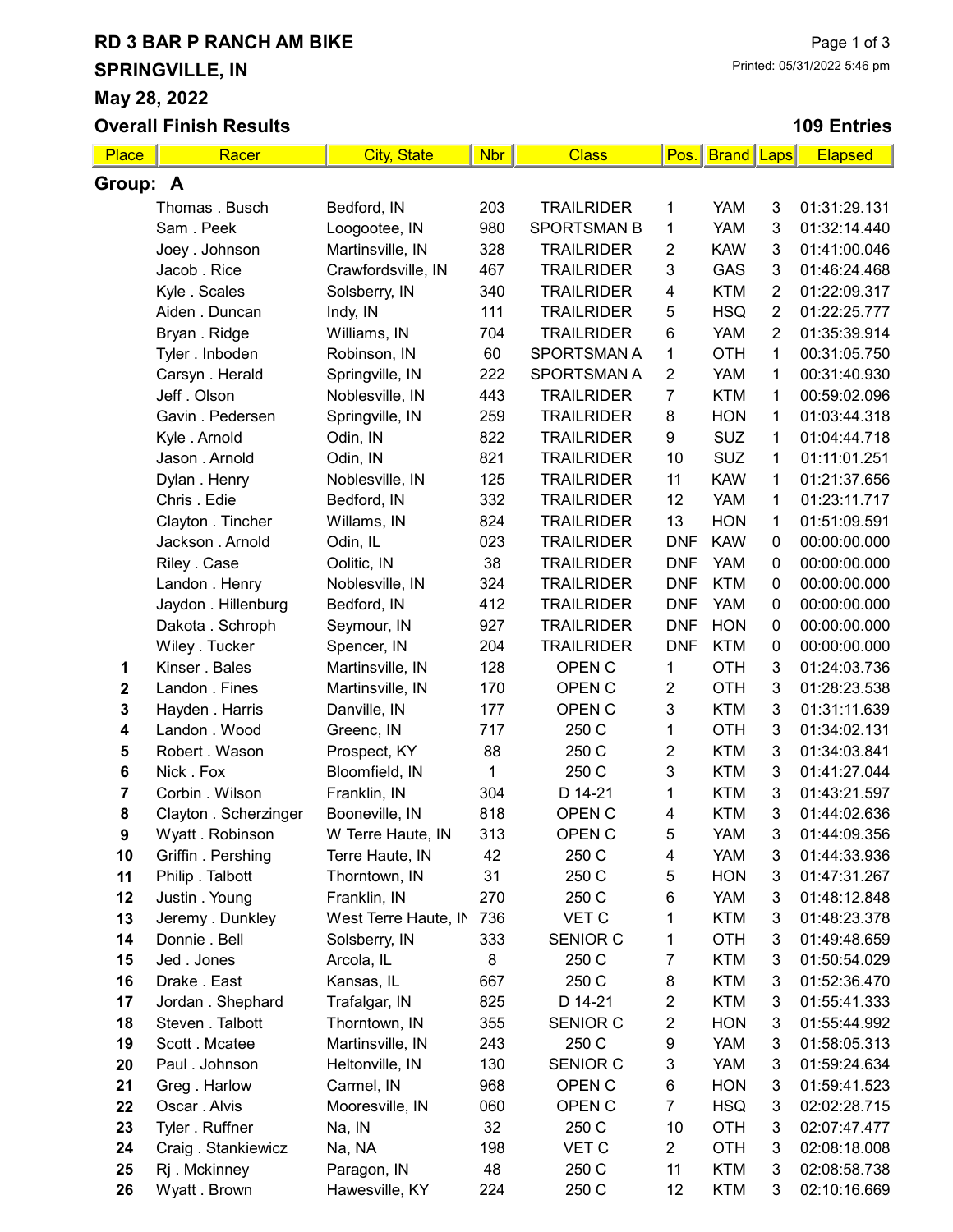# RD 3 BAR P RANCH AM BIKE SPRINGVILLE, IN May 28, 2022

Overall Finish Results

### 109 Entries

| Place          | Racer                 | <b>City, State</b>   | <b>Nbr</b> | <b>Class</b>       | Pos.                    | <b>Brand Laps</b>        |                | <b>Elapsed</b> |
|----------------|-----------------------|----------------------|------------|--------------------|-------------------------|--------------------------|----------------|----------------|
| Group: A       |                       |                      |            |                    |                         |                          |                |                |
| Thomas . Busch |                       | Bedford, IN          | 203        | <b>TRAILRIDER</b>  | 1                       | <b>YAM</b>               | 3              | 01:31:29.131   |
|                | Sam. Peek             | Loogootee, IN        | 980        | <b>SPORTSMAN B</b> | 1                       | YAM                      | 3              | 01:32:14.440   |
|                | Joey . Johnson        | Martinsville, IN     | 328        | <b>TRAILRIDER</b>  | $\overline{2}$          | <b>KAW</b>               | 3              | 01:41:00.046   |
|                | Jacob . Rice          | Crawfordsville, IN   | 467        | <b>TRAILRIDER</b>  | 3                       | GAS                      | 3              | 01:46:24.468   |
|                | Kyle . Scales         | Solsberry, IN        | 340        | <b>TRAILRIDER</b>  | 4                       | <b>KTM</b>               | $\overline{2}$ | 01:22:09.317   |
|                | Aiden . Duncan        | Indy, IN             | 111        | <b>TRAILRIDER</b>  | 5                       | <b>HSQ</b>               | $\overline{2}$ | 01:22:25.777   |
|                | Bryan . Ridge         | Williams, IN         | 704        | <b>TRAILRIDER</b>  | $\,6$                   | YAM                      | $\overline{2}$ | 01:35:39.914   |
|                | Tyler. Inboden        | Robinson, IN         | 60         | SPORTSMAN A        | 1                       | <b>OTH</b>               | 1              | 00:31:05.750   |
|                | Carsyn. Herald        | Springville, IN      | 222        | <b>SPORTSMAN A</b> | $\overline{2}$          | <b>YAM</b>               | 1              | 00:31:40.930   |
|                | Jeff. Olson           | Noblesville, IN      | 443        | <b>TRAILRIDER</b>  | $\overline{7}$          | <b>KTM</b>               | 1              | 00:59:02.096   |
|                | Gavin . Pedersen      | Springville, IN      | 259        | <b>TRAILRIDER</b>  | 8                       | <b>HON</b>               | 1              | 01:03:44.318   |
|                | Kyle . Arnold         | Odin, IN             | 822        | <b>TRAILRIDER</b>  | 9                       | <b>SUZ</b>               | 1              | 01:04:44.718   |
|                | Jason . Arnold        | Odin, IN             | 821        | <b>TRAILRIDER</b>  | 10                      | <b>SUZ</b>               | 1              | 01:11:01.251   |
|                | Dylan . Henry         | Noblesville, IN      | 125        | <b>TRAILRIDER</b>  | 11                      | <b>KAW</b>               | 1              | 01:21:37.656   |
|                | Chris. Edie           | Bedford, IN          | 332        | <b>TRAILRIDER</b>  | 12                      | <b>YAM</b>               | 1              | 01:23:11.717   |
|                | Clayton . Tincher     | Willams, IN          | 824        | <b>TRAILRIDER</b>  | 13                      | <b>HON</b>               | 1              | 01:51:09.591   |
|                | Jackson . Arnold      | Odin, IL             | 023        | <b>TRAILRIDER</b>  | <b>DNF</b>              | <b>KAW</b>               | $\pmb{0}$      | 00:00:00.000   |
|                | Riley . Case          | Oolitic, IN          | 38         | <b>TRAILRIDER</b>  | <b>DNF</b>              | <b>YAM</b>               | $\pmb{0}$      | 00:00:00.000   |
|                | Landon . Henry        | Noblesville, IN      | 324        | <b>TRAILRIDER</b>  | <b>DNF</b>              | <b>KTM</b>               | $\pmb{0}$      | 00:00:00.000   |
|                | Jaydon . Hillenburg   | Bedford, IN          | 412        | <b>TRAILRIDER</b>  | <b>DNF</b>              | <b>YAM</b>               | $\pmb{0}$      | 00:00:00.000   |
|                | Dakota . Schroph      | Seymour, IN          | 927        | <b>TRAILRIDER</b>  | <b>DNF</b>              | <b>HON</b>               | $\pmb{0}$      | 00:00:00.000   |
|                | Wiley . Tucker        | Spencer, IN          | 204        | <b>TRAILRIDER</b>  | <b>DNF</b>              | <b>KTM</b>               | $\pmb{0}$      | 00:00:00.000   |
| 1              | Kinser . Bales        | Martinsville, IN     | 128        | OPEN <sub>C</sub>  | 1                       | <b>OTH</b>               | 3              | 01:24:03.736   |
| $\mathbf 2$    | Landon . Fines        | Martinsville, IN     | 170        | OPEN C             | $\overline{c}$          | <b>OTH</b>               | 3              | 01:28:23.538   |
| 3              | Hayden . Harris       | Danville, IN         | 177        | OPEN C             | 3                       | <b>KTM</b>               | 3              | 01:31:11.639   |
| 4              | Landon . Wood         | Greenc, IN           | 717        | 250 C              | 1                       | <b>OTH</b>               | 3              | 01:34:02.131   |
| 5              | Robert . Wason        | Prospect, KY         | 88         | 250 C              | $\boldsymbol{2}$        | <b>KTM</b>               | 3              | 01:34:03.841   |
| 6              | Nick. Fox             | Bloomfield, IN       | 1          | 250 C              | 3                       | <b>KTM</b>               | 3              | 01:41:27.044   |
| 7              | Corbin . Wilson       | Franklin, IN         | 304        | D 14-21            | 1                       | <b>KTM</b>               | 3              | 01:43:21.597   |
| 8              | Clayton . Scherzinger | Booneville, IN       | 818        | OPEN C             | 4                       | <b>KTM</b>               | 3              | 01:44:02.636   |
| 9              | Wyatt. Robinson       | W Terre Haute, IN    | 313        | OPEN C             | 5                       | YAM                      | 3              | 01:44:09.356   |
| 10             | Griffin . Pershing    | Terre Haute, IN      | 42         | 250 C              | 4                       | YAM                      | 3              | 01:44:33.936   |
| 11             | Philip. Talbott       | Thorntown, IN        | 31         | 250 C              | 5                       | <b>HON</b>               | 3              | 01:47:31.267   |
| 12             | Justin . Young        | Franklin, IN         | 270        | 250 C              | 6                       | YAM                      | 3              | 01:48:12.848   |
| 13             | Jeremy . Dunkley      | West Terre Haute, IN | 736        | VET C              | 1                       | <b>KTM</b>               | 3              | 01:48:23.378   |
| 14             | Donnie . Bell         | Solsberry, IN        | 333        | <b>SENIOR C</b>    | 1                       | <b>OTH</b>               | 3              | 01:49:48.659   |
| 15             | Jed. Jones            | Arcola, IL           | 8          | 250 C              | 7                       | <b>KTM</b>               | 3              | 01:50:54.029   |
| 16             | Drake . East          | Kansas, IL           | 667        | 250 C              | 8                       | <b>KTM</b>               | 3              | 01:52:36.470   |
| 17             | Jordan . Shephard     | Trafalgar, IN        | 825        | D 14-21            | $\overline{\mathbf{c}}$ | <b>KTM</b>               | 3              | 01:55:41.333   |
| 18             | Steven . Talbott      | Thorntown, IN        | 355        | <b>SENIOR C</b>    | $\boldsymbol{2}$        | <b>HON</b>               | 3              | 01:55:44.992   |
| 19             | Scott . Mcatee        | Martinsville, IN     | 243        | 250 C              | $\boldsymbol{9}$        | <b>YAM</b>               | 3              | 01:58:05.313   |
| 20             | Paul . Johnson        | Heltonville, IN      | 130        | SENIOR C           | 3                       | <b>YAM</b>               | 3              | 01:59:24.634   |
| 21             | Greg. Harlow          | Carmel, IN           | 968        | OPEN <sub>C</sub>  | 6                       | <b>HON</b>               | 3              | 01:59:41.523   |
| 22             | Oscar . Alvis         | Mooresville, IN      | 060        | OPEN <sub>C</sub>  | 7                       | <b>HSQ</b>               | 3              | 02:02:28.715   |
| 23             | Tyler . Ruffner       | Na, IN               | 32         | 250 C              | 10                      | <b>OTH</b>               | 3              | 02:07:47.477   |
| 24             | Craig. Stankiewicz    | Na, NA               | 198<br>48  | VET C              | $\overline{a}$          | <b>OTH</b>               | 3              | 02:08:18.008   |
| 25<br>26       | Rj . Mckinney         | Paragon, IN          | 224        | 250 C              | 11<br>12                | <b>KTM</b><br><b>KTM</b> | 3              | 02:08:58.738   |
|                | Wyatt. Brown          | Hawesville, KY       |            | 250 C              |                         |                          | 3              | 02:10:16.669   |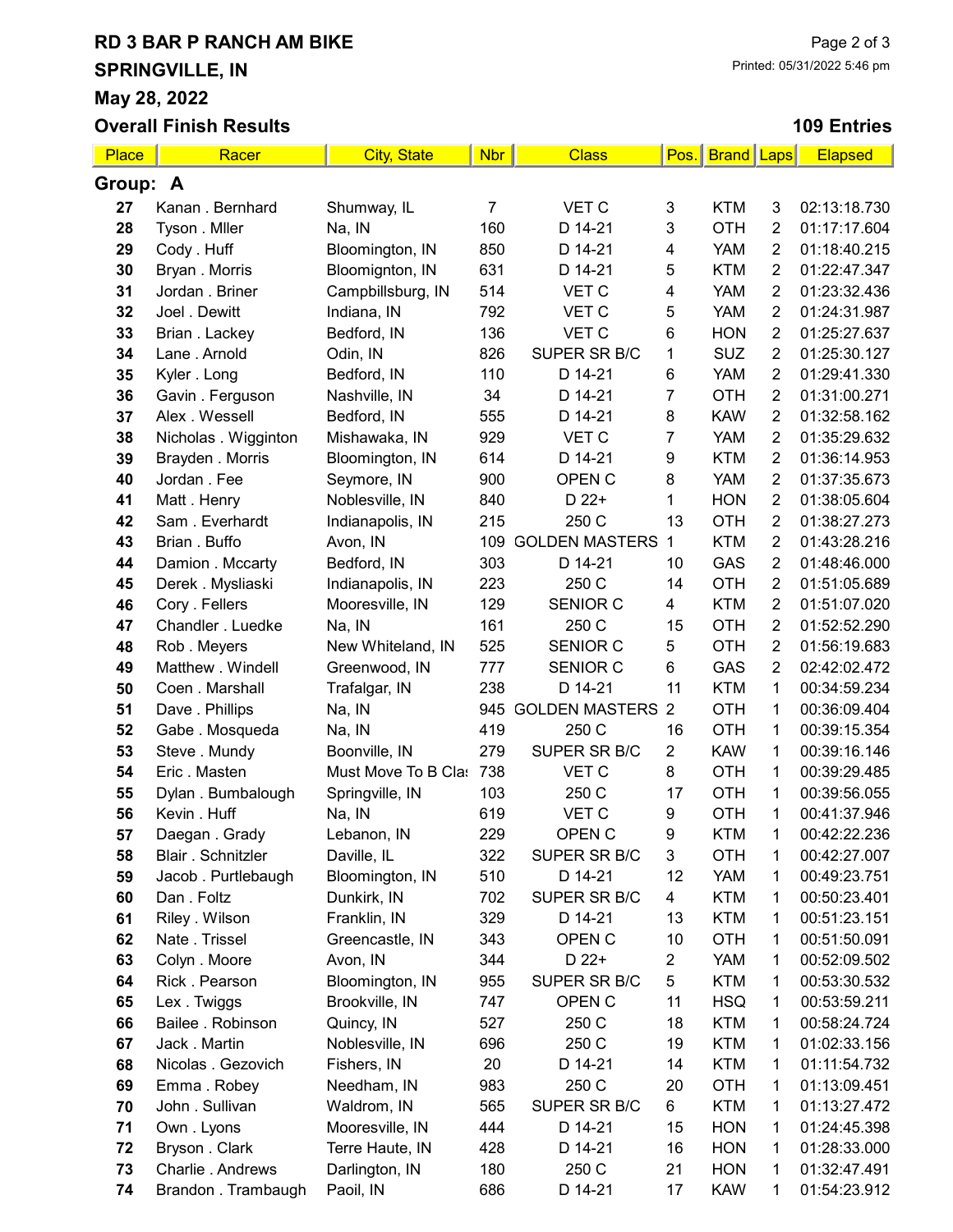# RD 3 BAR P RANCH AM BIKE SPRINGVILLE, IN

Overall Finish Results

May 28, 2022

## 109 Entries

| Place    | Racer                | <b>City, State</b>  | <b>Nbr</b> | <b>Class</b>          | Pos.                    | <b>Brand</b>   Laps |                | <b>Elapsed</b> |
|----------|----------------------|---------------------|------------|-----------------------|-------------------------|---------------------|----------------|----------------|
| Group: A |                      |                     |            |                       |                         |                     |                |                |
| 27       | Kanan . Bernhard     | Shumway, IL         | 7          | VET C                 | 3                       | <b>KTM</b>          | 3              | 02:13:18.730   |
| 28       | Tyson . Mller        | Na, IN              | 160        | D 14-21               | 3                       | <b>OTH</b>          | $\overline{2}$ | 01:17:17.604   |
| 29       | Cody . Huff          | Bloomington, IN     | 850        | D 14-21               | 4                       | <b>YAM</b>          | $\overline{2}$ | 01:18:40.215   |
| 30       | Bryan . Morris       | Bloomignton, IN     | 631        | D 14-21               | 5                       | <b>KTM</b>          | $\overline{2}$ | 01:22:47.347   |
| 31       | Jordan . Briner      | Campbillsburg, IN   | 514        | <b>VET C</b>          | $\overline{\mathbf{4}}$ | <b>YAM</b>          | $\overline{2}$ | 01:23:32.436   |
| 32       | Joel . Dewitt        | Indiana, IN         | 792        | VET C                 | 5                       | <b>YAM</b>          | $\overline{2}$ | 01:24:31.987   |
| 33       | Brian . Lackey       | Bedford, IN         | 136        | <b>VET C</b>          | 6                       | <b>HON</b>          | $\overline{2}$ | 01:25:27.637   |
| 34       | Lane . Arnold        | Odin, IN            | 826        | SUPER SR B/C          | 1                       | <b>SUZ</b>          | $\overline{2}$ | 01:25:30.127   |
| 35       | Kyler . Long         | Bedford, IN         | 110        | D 14-21               | $\,6$                   | <b>YAM</b>          | $\overline{2}$ | 01:29:41.330   |
| 36       | Gavin . Ferguson     | Nashville, IN       | 34         | D 14-21               | 7                       | <b>OTH</b>          | $\overline{2}$ | 01:31:00.271   |
| 37       | Alex . Wessell       | Bedford, IN         | 555        | D 14-21               | 8                       | <b>KAW</b>          | $\overline{2}$ | 01:32:58.162   |
| 38       | Nicholas . Wigginton | Mishawaka, IN       | 929        | VET C                 | 7                       | <b>YAM</b>          | $\overline{2}$ | 01:35:29.632   |
| 39       | Brayden . Morris     | Bloomington, IN     | 614        | D 14-21               | 9                       | <b>KTM</b>          | $\overline{2}$ | 01:36:14.953   |
| 40       | Jordan . Fee         | Seymore, IN         | 900        | OPEN C                | 8                       | <b>YAM</b>          | $\overline{2}$ | 01:37:35.673   |
| 41       | Matt. Henry          | Noblesville, IN     | 840        | D 22+                 | 1                       | <b>HON</b>          | $\overline{2}$ | 01:38:05.604   |
| 42       | Sam. Everhardt       | Indianapolis, IN    | 215        | 250 C                 | 13                      | <b>OTH</b>          | $\overline{2}$ | 01:38:27.273   |
| 43       | Brian . Buffo        | Avon, IN            | 109        | <b>GOLDEN MASTERS</b> | 1                       | <b>KTM</b>          | $\overline{2}$ | 01:43:28.216   |
| 44       | Damion . Mccarty     | Bedford, IN         | 303        | D 14-21               | 10                      | GAS                 | $\overline{2}$ | 01:48:46.000   |
| 45       | Derek . Mysliaski    | Indianapolis, IN    | 223        | 250 C                 | 14                      | <b>OTH</b>          | $\overline{2}$ | 01:51:05.689   |
| 46       | Cory . Fellers       | Mooresville, IN     | 129        | SENIOR C              | 4                       | <b>KTM</b>          | $\overline{2}$ | 01:51:07.020   |
| 47       | Chandler . Luedke    | Na, IN              | 161        | 250 C                 | 15                      | <b>OTH</b>          | $\overline{2}$ | 01:52:52.290   |
| 48       | Rob. Meyers          | New Whiteland, IN   | 525        | <b>SENIOR C</b>       | 5                       | <b>OTH</b>          | $\overline{2}$ | 01:56:19.683   |
| 49       | Matthew . Windell    | Greenwood, IN       | 777        | SENIOR C              | 6                       | GAS                 | $\overline{2}$ | 02:42:02.472   |
| 50       | Coen . Marshall      | Trafalgar, IN       | 238        | D 14-21               | 11                      | <b>KTM</b>          | 1              | 00:34:59.234   |
| 51       | Dave . Phillips      | Na, IN              | 945        | <b>GOLDEN MASTERS</b> | $\overline{2}$          | <b>OTH</b>          | 1              | 00:36:09.404   |
| 52       | Gabe. Mosqueda       | Na, IN              | 419        | 250 C                 | 16                      | <b>OTH</b>          | $\mathbf 1$    | 00:39:15.354   |
| 53       | Steve . Mundy        | Boonville, IN       | 279        | SUPER SR B/C          | $\overline{2}$          | <b>KAW</b>          | $\mathbf{1}$   | 00:39:16.146   |
| 54       | Eric. Masten         | Must Move To B Clas | 738        | VET C                 | 8                       | <b>OTH</b>          | $\mathbf{1}$   | 00:39:29.485   |
| 55       | Dylan . Bumbalough   | Springville, IN     | 103        | 250 C                 | 17                      | <b>OTH</b>          | $\mathbf{1}$   | 00:39:56.055   |
| 56       | Kevin . Huff         | Na, IN              | 619        | VET C                 | 9                       | <b>OTH</b>          | 1              | 00:41:37.946   |
| 57       | Daegan. Grady        | Lebanon, IN         | 229        | OPEN C                | 9                       | <b>KTM</b>          | 1              | 00:42:22.236   |
| 58       | Blair . Schnitzler   | Daville, IL         | 322        | SUPER SR B/C          | 3                       | <b>OTH</b>          | 1              | 00:42:27.007   |
| 59       | Jacob. Purtlebaugh   | Bloomington, IN     | 510        | D 14-21               | 12                      | <b>YAM</b>          | 1              | 00:49:23.751   |
| 60       | Dan. Foltz           | Dunkirk, IN         | 702        | SUPER SR B/C          | 4                       | <b>KTM</b>          | 1              | 00:50:23.401   |
| 61       | Riley . Wilson       | Franklin, IN        | 329        | D 14-21               | 13                      | <b>KTM</b>          | 1              | 00:51:23.151   |
| 62       | Nate . Trissel       | Greencastle, IN     | 343        | OPEN C                | 10                      | <b>OTH</b>          | 1              | 00:51:50.091   |
| 63       | Colyn . Moore        | Avon, IN            | 344        | D 22+                 | 2                       | <b>YAM</b>          | $\mathbf{1}$   | 00:52:09.502   |
| 64       | Rick . Pearson       | Bloomington, IN     | 955        | SUPER SR B/C          | 5                       | <b>KTM</b>          | 1              | 00:53:30.532   |
| 65       | Lex. Twiggs          | Brookville, IN      | 747        | OPEN <sub>C</sub>     | 11                      | <b>HSQ</b>          | 1              | 00:53:59.211   |
| 66       | Bailee . Robinson    | Quincy, IN          | 527        | 250 C                 | 18                      | <b>KTM</b>          | $\mathbf{1}$   | 00:58:24.724   |
| 67       | Jack . Martin        | Noblesville, IN     | 696        | 250 C                 | 19                      | <b>KTM</b>          | $\mathbf{1}$   | 01:02:33.156   |
| 68       | Nicolas . Gezovich   | Fishers, IN         | 20         | D 14-21               | 14                      | <b>KTM</b>          | 1              | 01:11:54.732   |
| 69       | Emma. Robey          | Needham, IN         | 983        | 250 C                 | 20                      | <b>OTH</b>          | 1              | 01:13:09.451   |
| 70       | John . Sullivan      | Waldrom, IN         | 565        | SUPER SR B/C          | 6                       | <b>KTM</b>          | 1              | 01:13:27.472   |
| 71       | Own. Lyons           | Mooresville, IN     | 444        | D 14-21               | 15                      | <b>HON</b>          | 1              | 01:24:45.398   |
| 72       | Bryson . Clark       | Terre Haute, IN     | 428        | D 14-21               | 16                      | <b>HON</b>          | 1              | 01:28:33.000   |
| 73       | Charlie . Andrews    | Darlington, IN      | 180        | 250 C                 | 21                      | <b>HON</b>          | 1              | 01:32:47.491   |
| 74       | Brandon . Trambaugh  | Paoil, IN           | 686        | D 14-21               | 17                      | <b>KAW</b>          | $\mathbf{1}$   | 01:54:23.912   |